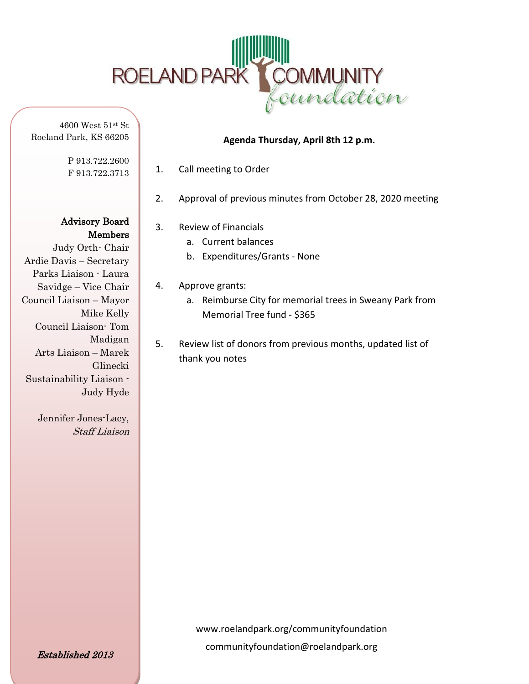

4600 West 51st St Roeland Park, KS 66205

> P 913.722.2600 F 913.722.3713

Advisory Board Members

Judy Orth- Chair Ardie Davis – Secretary Parks Liaison - Laura Savidge – Vice Chair Council Liaison – Mayor Mike Kelly Council Liaison- Tom Madigan Arts Liaison – Marek Glinecki Sustainability Liaison - Judy Hyde

> Jennifer Jones-Lacy, Staff Liaison

#### 1. Call meeting to Order

2. Approval of previous minutes from October 28, 2020 meeting

**Agenda Thursday, April 8th 12 p.m.**

- 3. Review of Financials
	- a. Current balances
	- b. Expenditures/Grants None
- 4. Approve grants:
	- a. Reimburse City for memorial trees in Sweany Park from Memorial Tree fund - \$365
- 5. Review list of donors from previous months, updated list of thank you notes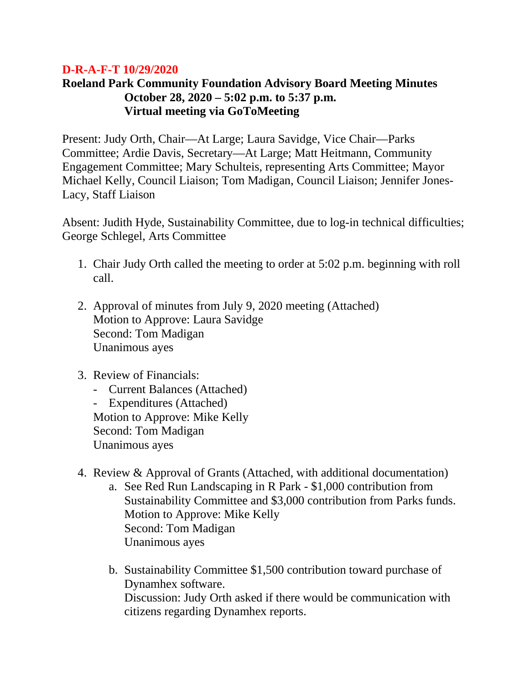### **D-R-A-F-T 10/29/2020**

# **Roeland Park Community Foundation Advisory Board Meeting Minutes October 28, 2020 – 5:02 p.m. to 5:37 p.m. Virtual meeting via GoToMeeting**

Present: Judy Orth, Chair—At Large; Laura Savidge, Vice Chair—Parks Committee; Ardie Davis, Secretary—At Large; Matt Heitmann, Community Engagement Committee; Mary Schulteis, representing Arts Committee; Mayor Michael Kelly, Council Liaison; Tom Madigan, Council Liaison; Jennifer Jones-Lacy, Staff Liaison

Absent: Judith Hyde, Sustainability Committee, due to log-in technical difficulties; George Schlegel, Arts Committee

- 1. Chair Judy Orth called the meeting to order at 5:02 p.m. beginning with roll call.
- 2. Approval of minutes from July 9, 2020 meeting (Attached) Motion to Approve: Laura Savidge Second: Tom Madigan Unanimous ayes
- 3. Review of Financials:
	- Current Balances (Attached)

- Expenditures (Attached) Motion to Approve: Mike Kelly Second: Tom Madigan Unanimous ayes

- 4. Review & Approval of Grants (Attached, with additional documentation)
	- a. See Red Run Landscaping in R Park \$1,000 contribution from Sustainability Committee and \$3,000 contribution from Parks funds. Motion to Approve: Mike Kelly Second: Tom Madigan Unanimous ayes
	- b. Sustainability Committee \$1,500 contribution toward purchase of Dynamhex software. Discussion: Judy Orth asked if there would be communication with citizens regarding Dynamhex reports.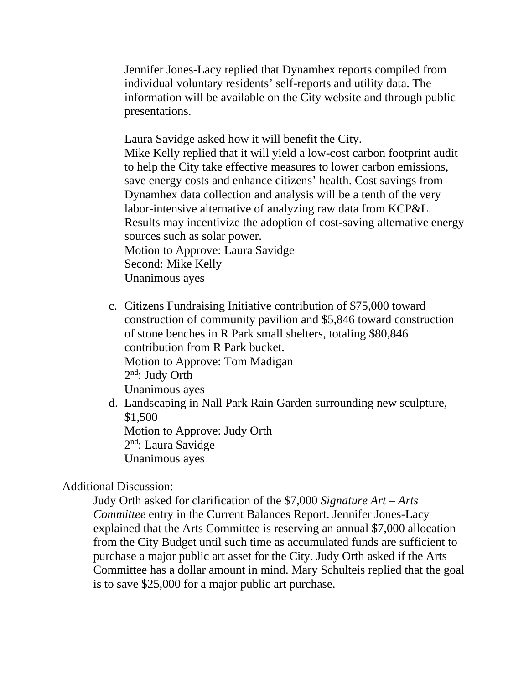Jennifer Jones-Lacy replied that Dynamhex reports compiled from individual voluntary residents' self-reports and utility data. The information will be available on the City website and through public presentations.

Laura Savidge asked how it will benefit the City. Mike Kelly replied that it will yield a low-cost carbon footprint audit to help the City take effective measures to lower carbon emissions, save energy costs and enhance citizens' health. Cost savings from Dynamhex data collection and analysis will be a tenth of the very labor-intensive alternative of analyzing raw data from KCP&L. Results may incentivize the adoption of cost-saving alternative energy sources such as solar power. Motion to Approve: Laura Savidge Second: Mike Kelly Unanimous ayes

- c. Citizens Fundraising Initiative contribution of \$75,000 toward construction of community pavilion and \$5,846 toward construction of stone benches in R Park small shelters, totaling \$80,846 contribution from R Park bucket. Motion to Approve: Tom Madigan  $2<sup>nd</sup>$ : Judy Orth Unanimous ayes
- d. Landscaping in Nall Park Rain Garden surrounding new sculpture, \$1,500 Motion to Approve: Judy Orth 2nd: Laura Savidge Unanimous ayes

# Additional Discussion:

Judy Orth asked for clarification of the \$7,000 *Signature Art – Arts Committee* entry in the Current Balances Report. Jennifer Jones-Lacy explained that the Arts Committee is reserving an annual \$7,000 allocation from the City Budget until such time as accumulated funds are sufficient to purchase a major public art asset for the City. Judy Orth asked if the Arts Committee has a dollar amount in mind. Mary Schulteis replied that the goal is to save \$25,000 for a major public art purchase.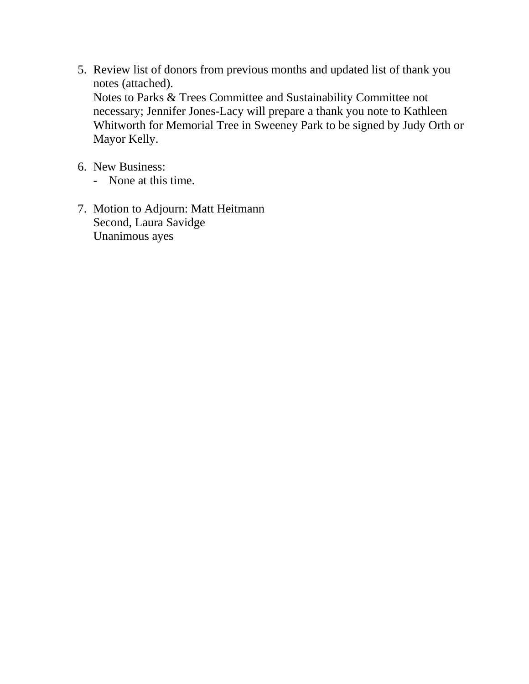- 5. Review list of donors from previous months and updated list of thank you notes (attached). Notes to Parks & Trees Committee and Sustainability Committee not necessary; Jennifer Jones-Lacy will prepare a thank you note to Kathleen Whitworth for Memorial Tree in Sweeney Park to be signed by Judy Orth or Mayor Kelly.
- 6. New Business:
	- None at this time.
- 7. Motion to Adjourn: Matt Heitmann Second, Laura Savidge Unanimous ayes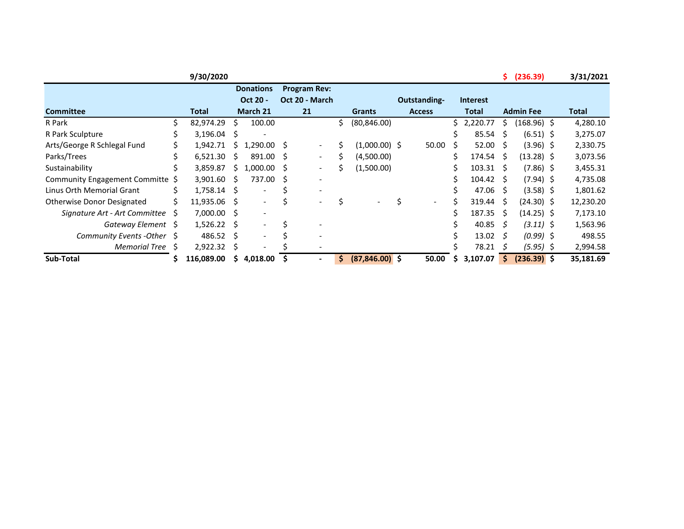|                                   |   | 9/30/2020  |    |                          |   |                     |                          |     |                   |               |    |                  | \$. | (236.39)         | 3/31/2021    |
|-----------------------------------|---|------------|----|--------------------------|---|---------------------|--------------------------|-----|-------------------|---------------|----|------------------|-----|------------------|--------------|
|                                   |   |            |    | <b>Donations</b>         |   | <b>Program Rev:</b> |                          |     |                   |               |    |                  |     |                  |              |
|                                   |   |            |    | Oct 20 -                 |   | Oct 20 - March      |                          |     |                   | Outstanding-  |    | <b>Interest</b>  |     |                  |              |
| <b>Committee</b>                  |   | Total      |    | March 21                 |   | 21                  |                          |     | <b>Grants</b>     | <b>Access</b> |    | <b>Total</b>     |     | <b>Admin Fee</b> | <b>Total</b> |
| R Park                            | Ś | 82,974.29  | Ś  | 100.00                   |   |                     |                          | Ś.  | (80, 846.00)      |               | Ś. | 2,220.77         | Ś.  | (168.96) \$      | 4,280.10     |
| R Park Sculpture                  |   | 3,196.04   | S  | ٠                        |   |                     |                          |     |                   |               |    | 85.54            | S.  | $(6.51)$ \$      | 3,275.07     |
| Arts/George R Schlegal Fund       |   | 1,942.71   | S  | $1,290.00$ \$            |   |                     | $\overline{\phantom{a}}$ | Ś   | $(1,000.00)$ \$   | 50.00         |    | $52.00 \pm 5$    |     | $(3.96)$ \$      | 2,330.75     |
| Parks/Trees                       |   | 6,521.30   | S  | 891.00 \$                |   |                     | $\overline{\phantom{0}}$ | \$  | (4,500.00)        |               | \$ | $174.54 \quad S$ |     | $(13.28)$ \$     | 3,073.56     |
| Sustainability                    |   | 3,859.87   | S. | $1,000.00$ \$            |   |                     | $\overline{\phantom{a}}$ | \$  | (1,500.00)        |               | \$ | $103.31 \quad $$ |     | $(7.86)$ \$      | 3,455.31     |
| Community Engagement Committe \$  |   | 3,901.60   | S  | 737.00 \$                |   |                     | $\overline{\phantom{a}}$ |     |                   |               |    | $104.42 \quad$   |     | $(7.94)$ \$      | 4,735.08     |
| Linus Orth Memorial Grant         | Ś | 1,758.14   | S. | $\overline{\phantom{a}}$ | S |                     | $\overline{\phantom{a}}$ |     |                   |               |    | 47.06            | - S | $(3.58)$ \$      | 1,801.62     |
| <b>Otherwise Donor Designated</b> | Ś | 11,935.06  | S  | Ξ.                       | Ś |                     | $\qquad \qquad -$        |     |                   |               |    | 319.44           | - S | $(24.30)$ \$     | 12,230.20    |
| Signature Art - Art Committee     | S | 7,000.00   | S  | $\overline{\phantom{m}}$ |   |                     |                          |     |                   |               |    | 187.35           | -S  | $(14.25)$ \$     | 7,173.10     |
| Gateway Element                   | S | 1,526.22   | S  | $\overline{\phantom{a}}$ | Ś |                     |                          |     |                   |               |    | 40.85            | -S  | $(3.11)$ \$      | 1,563.96     |
| Community Events - Other \$       |   | 486.52     | S  | $\overline{\phantom{0}}$ |   |                     | $\overline{\phantom{a}}$ |     |                   |               |    | 13.02            | S   | $(0.99)$ \$      | 498.55       |
| <b>Memorial Tree</b>              | S | 2,922.32   | S  |                          |   |                     | $\overline{\phantom{a}}$ |     |                   |               |    | 78.21            | S   | $(5.95)$ \$      | 2,994.58     |
| Sub-Total                         |   | 116,089.00 | S. | 4,018.00                 |   |                     | $\blacksquare$           | \$. | $(87, 846.00)$ \$ | 50.00         |    | 3,107.07         | Ś.  | $(236.39)$ \$    | 35,181.69    |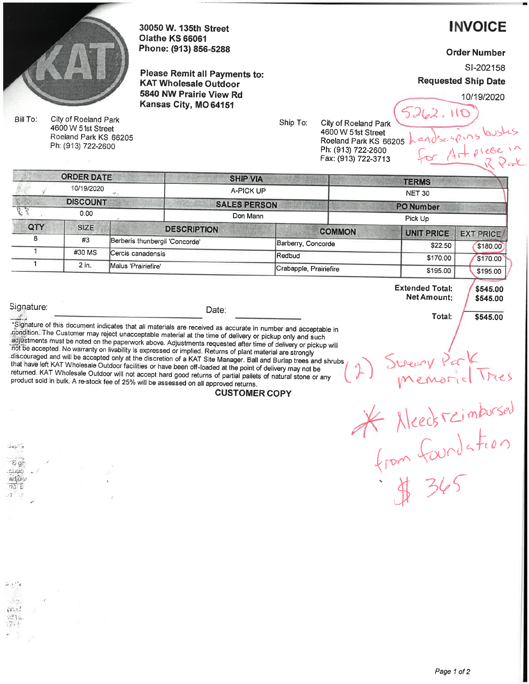

30050 W. 135th Street **Olathe KS 66061** Phone: (913) 856-5288

Please Remit all Payments to: **KAT Wholesale Outdoor** 5840 NW Prairie View Rd Kansas City, MO 64151

**INVOICE** 

**Order Number** 

SI-202158

**Requested Ship Date** 

10/19/2020

reaping bush

Heicce

\$545.00

\$545.00

\$545.00

Bill To: City of Roeland Park 4600 W 51st Street Roeland Park KS 66205 Ph: (913) 722-2600

Ship To:

City of Roeland Park 4600 W 51st Street Roeland Park KS 66205 Ph: (913) 722-2600 Fax: (913) 722-3713

| (2) Street Park                       |  |
|---------------------------------------|--|
| * Needs reimbursed<br>from foundation |  |
| \$ 365                                |  |

**Extended Total:** 

Net Amount:

Total:

|     | <b>ORDER DATE</b> |                                | <b>SHIP VIA</b>     |                        |                       | <b>TERMS</b>     |  |  |  |
|-----|-------------------|--------------------------------|---------------------|------------------------|-----------------------|------------------|--|--|--|
|     | 10/19/2020        |                                | A-PICK UP           |                        | <b>NET 30</b>         |                  |  |  |  |
|     | <b>DISCOUNT</b>   |                                | <b>SALES PERSON</b> |                        | <b>PO Number</b>      |                  |  |  |  |
|     | 0.00              |                                | Don Mann            |                        | Pick Up               |                  |  |  |  |
| QTY | <b>SIZE</b>       | <b>DESCRIPTION</b>             |                     | <b>COMMON</b>          |                       | <b>EXT PRICE</b> |  |  |  |
| 8   | #3                | Berberis thunbergii 'Concorde' | Barberry, Concorde  |                        | UNIT PRICE<br>\$22.50 | \$180.00         |  |  |  |
|     | #30 MS            | (Cercis canadensis             | Redbud              | Crabapple, Prairiefire |                       | \$170.00         |  |  |  |
|     | 2 in.             | Malus 'Prairiefire'            |                     |                        |                       | \$195.00         |  |  |  |
|     |                   |                                |                     |                        | \$195.00              |                  |  |  |  |

Signature: 器

.<br>Gwelet ivez  $$4$ clasic adjua. 783 E

Date:

"Signature of this document indicates that all materials are received as accurate in number and acceptable in condition. The Customer may reject unacceptable material at the time of delivery or pickup only and such adjustments must be noted on the paperwork above. Adjustments requested after time of delivery or pickup will not be accepted. No warranty on livability is expressed or implied. Returns of plant material are strongly discouraged and will be accepted only at the discretion of a KAT Site Manager. Ball and Burlap trees and shrubs that have left KAT Wholesale Outdoor facilities or have been off-loaded at the point of delivery may not be returned. KAT Wholesale Outdoor will not accept hard good returns of partial pallets of natural stone or any product sold in bulk. A re-stock fee of 25% will be assessed on all approved returns.

#### **CUSTOMER COPY**